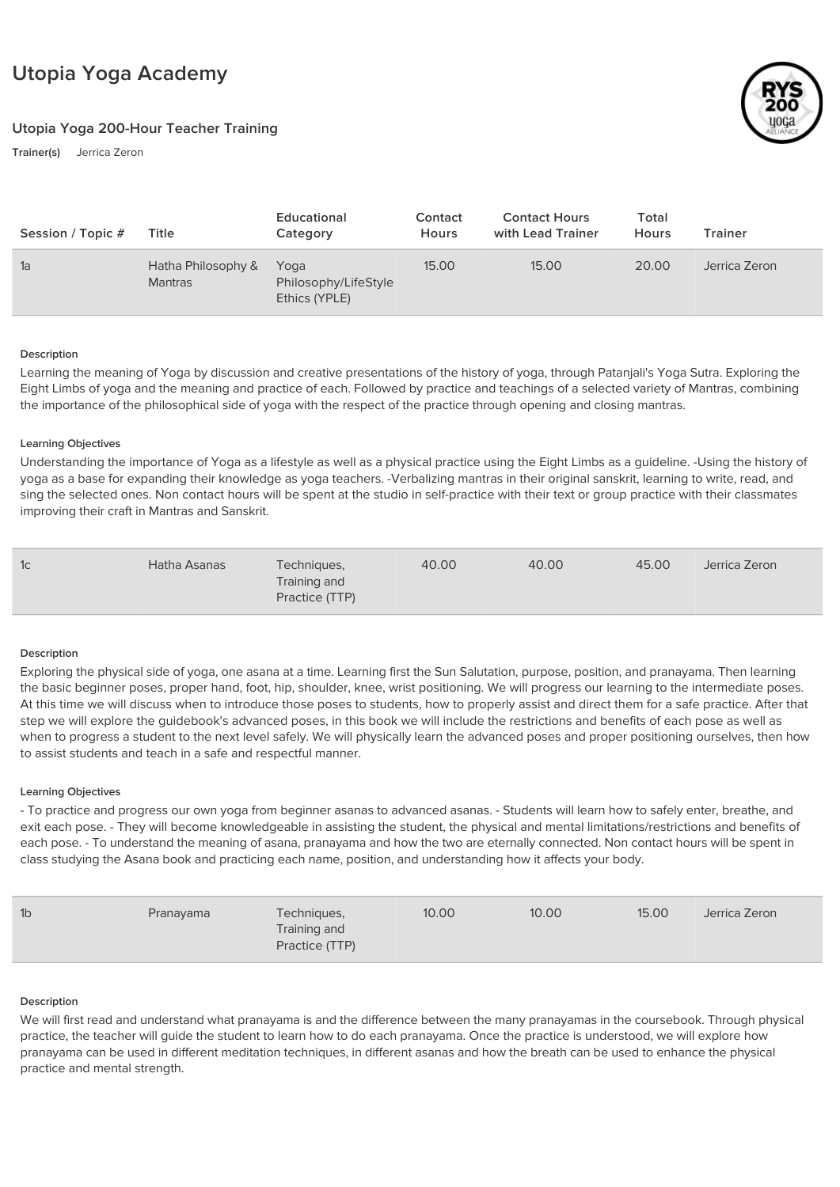# Utopia Yoga Academy

## Utopia Yoga 200-Hour Teacher Training

Trainer(s) Jerrica Zeron



| Session / Topic # | Title                                | Educational<br>Category                       | Contact<br><b>Hours</b> | <b>Contact Hours</b><br>with Lead Trainer | Total<br>Hours | Trainer       |
|-------------------|--------------------------------------|-----------------------------------------------|-------------------------|-------------------------------------------|----------------|---------------|
| 1a                | Hatha Philosophy &<br><b>Mantras</b> | Yoga<br>Philosophy/LifeStyle<br>Ethics (YPLE) | 15.00                   | 15.00                                     | 20.00          | Jerrica Zeron |

## Description

Learning the meaning of Yoga by discussion and creative presentations of the history of yoga, through Patanjali's Yoga Sutra. Exploring the Eight Limbs of yoga and the meaning and practice of each. Followed by practice and teachings of a selected variety of Mantras, combining the importance of the philosophical side of yoga with the respect of the practice through opening and closing mantras.

## Learning Objectives

Understanding the importance of Yoga as a lifestyle as well as a physical practice using the Eight Limbs as a guideline. -Using the history of yoga as a base for expanding their knowledge as yoga teachers. -Verbalizing mantras in their original sanskrit, learning to write, read, and sing the selected ones. Non contact hours will be spent at the studio in self-practice with their text or group practice with their classmates improving their craft in Mantras and Sanskrit.

| 1c<br>Hatha Asanas | Techniques,<br>Training and<br>Practice (TTP) | 40.00 | 40.00 | 45.00 | Jerrica Zeron |  |
|--------------------|-----------------------------------------------|-------|-------|-------|---------------|--|
|--------------------|-----------------------------------------------|-------|-------|-------|---------------|--|

## Description

Exploring the physical side of yoga, one asana at a time. Learning first the Sun Salutation, purpose, position, and pranayama. Then learning the basic beginner poses, proper hand, foot, hip, shoulder, knee, wrist positioning. We will progress our learning to the intermediate poses. At this time we will discuss when to introduce those poses to students, how to properly assist and direct them for a safe practice. After that step we will explore the guidebook's advanced poses, in this book we will include the restrictions and benefits of each pose as well as when to progress a student to the next level safely. We will physically learn the advanced poses and proper positioning ourselves, then how to assist students and teach in a safe and respectful manner.

## Learning Objectives

- To practice and progress our own yoga from beginner asanas to advanced asanas. - Students will learn how to safely enter, breathe, and exit each pose. - They will become knowledgeable in assisting the student, the physical and mental limitations/restrictions and benefits of each pose. - To understand the meaning of asana, pranayama and how the two are eternally connected. Non contact hours will be spent in class studying the Asana book and practicing each name, position, and understanding how it affects your body.

| 1 <sub>b</sub> | Pranayama | Techniques,<br>Training and<br>Practice (TTP) | 10.00 | 10.00 | 15.00 | Jerrica Zeron |
|----------------|-----------|-----------------------------------------------|-------|-------|-------|---------------|
|                |           |                                               |       |       |       |               |

## Description

We will first read and understand what pranayama is and the difference between the many pranayamas in the coursebook. Through physical practice, the teacher will guide the student to learn how to do each pranayama. Once the practice is understood, we will explore how pranayama can be used in different meditation techniques, in different asanas and how the breath can be used to enhance the physical practice and mental strength.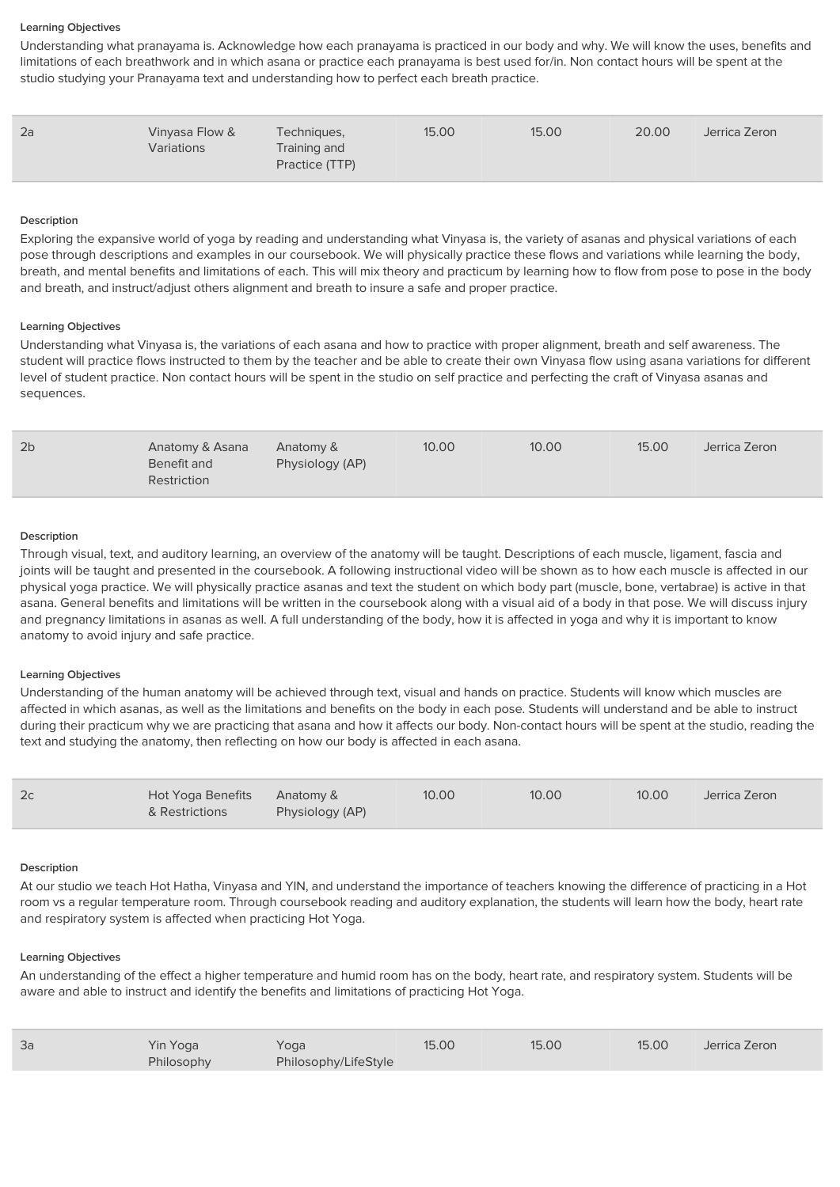## Learning Objectives

Understanding what pranayama is. Acknowledge how each pranayama is practiced in our body and why. We will know the uses, benefits and limitations of each breathwork and in which asana or practice each pranayama is best used for/in. Non contact hours will be spent at the studio studying your Pranayama text and understanding how to perfect each breath practice.

| 2a | Vinyasa Flow &<br>Variations | Techniques,<br>Training and<br>Practice (TTP) | 15.00 | 15.00 | 20.00 | Jerrica Zeron |
|----|------------------------------|-----------------------------------------------|-------|-------|-------|---------------|
|    |                              |                                               |       |       |       |               |

#### Description

Exploring the expansive world of yoga by reading and understanding what Vinyasa is, the variety of asanas and physical variations of each pose through descriptions and examples in our coursebook. We will physically practice these flows and variations while learning the body, breath, and mental benefits and limitations of each. This will mix theory and practicum by learning how to flow from pose to pose in the body and breath, and instruct/adjust others alignment and breath to insure a safe and proper practice.

#### Learning Objectives

Understanding what Vinyasa is, the variations of each asana and how to practice with proper alignment, breath and self awareness. The student will practice flows instructed to them by the teacher and be able to create their own Vinyasa flow using asana variations for different level of student practice. Non contact hours will be spent in the studio on self practice and perfecting the craft of Vinyasa asanas and sequences.

| 2b<br>Anatomy & Asana<br>Anatomy &<br>Physiology (AP)<br>Benefit and<br>Restriction | 10.00 | 10.00 | 15.00 | Jerrica Zeron |
|-------------------------------------------------------------------------------------|-------|-------|-------|---------------|
|-------------------------------------------------------------------------------------|-------|-------|-------|---------------|

#### Description

Through visual, text, and auditory learning, an overview of the anatomy will be taught. Descriptions of each muscle, ligament, fascia and joints will be taught and presented in the coursebook. A following instructional video will be shown as to how each muscle is affected in our physical yoga practice. We will physically practice asanas and text the student on which body part (muscle, bone, vertabrae) is active in that asana. General benefits and limitations will be written in the coursebook along with a visual aid of a body in that pose. We will discuss injury and pregnancy limitations in asanas as well. A full understanding of the body, how it is affected in yoga and why it is important to know anatomy to avoid injury and safe practice.

## Learning Objectives

Understanding of the human anatomy will be achieved through text, visual and hands on practice. Students will know which muscles are affected in which asanas, as well as the limitations and benefits on the body in each pose. Students will understand and be able to instruct during their practicum why we are practicing that asana and how it affects our body. Non-contact hours will be spent at the studio, reading the text and studying the anatomy, then reflecting on how our body is affected in each asana.

| 2c | Hot Yoga Benefits Anatomy &<br>& Restrictions | Physiology (AP) | 10.00 | 10.00 | 10.00 | Jerrica Zeron |
|----|-----------------------------------------------|-----------------|-------|-------|-------|---------------|
|    |                                               |                 |       |       |       |               |

#### Description

At our studio we teach Hot Hatha, Vinyasa and YIN, and understand the importance of teachers knowing the difference of practicing in a Hot room vs a regular temperature room. Through coursebook reading and auditory explanation, the students will learn how the body, heart rate and respiratory system is affected when practicing Hot Yoga.

#### Learning Objectives

An understanding of the effect a higher temperature and humid room has on the body, heart rate, and respiratory system. Students will be aware and able to instruct and identify the benefits and limitations of practicing Hot Yoga.

| 3a | Yin Yoga   | Yoga                 | 15.00 | 15.00 | 15.00 | Jerrica Zeron |
|----|------------|----------------------|-------|-------|-------|---------------|
|    | Philosophy | Philosophy/LifeStyle |       |       |       |               |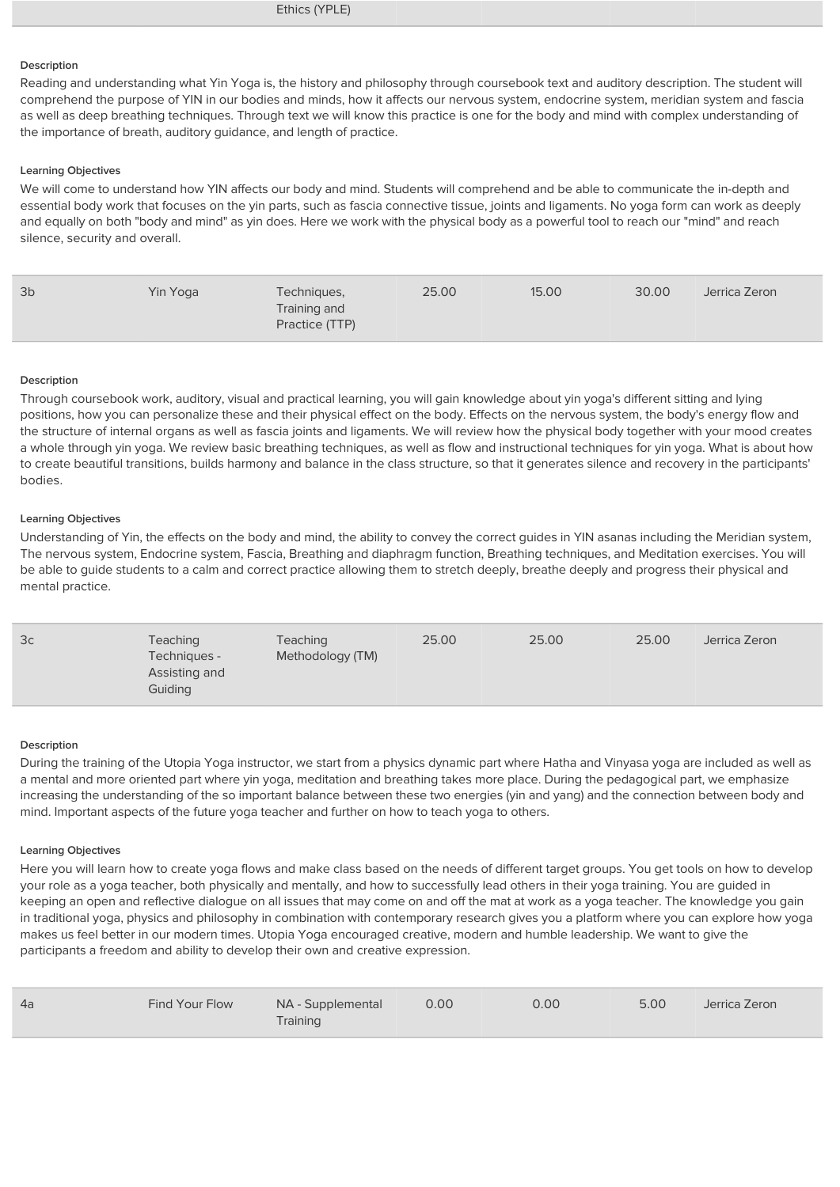Ethics (YPLE)

## **Description**

Reading and understanding what Yin Yoga is, the history and philosophy through coursebook text and auditory description. The student will comprehend the purpose of YIN in our bodies and minds, how it affects our nervous system, endocrine system, meridian system and fascia as well as deep breathing techniques. Through text we will know this practice is one for the body and mind with complex understanding of the importance of breath, auditory guidance, and length of practice.

#### Learning Objectives

We will come to understand how YIN affects our body and mind. Students will comprehend and be able to communicate the in-depth and essential body work that focuses on the yin parts, such as fascia connective tissue, joints and ligaments. No yoga form can work as deeply and equally on both "body and mind" as yin does. Here we work with the physical body as a powerful tool to reach our "mind" and reach silence, security and overall.

| 3 <sub>b</sub><br>25.00<br>30.00<br>15.00<br>Yin Yoga<br>Jerrica Zeron<br>Techniques,<br>Training and<br>Practice (TTP) |  |
|-------------------------------------------------------------------------------------------------------------------------|--|
|-------------------------------------------------------------------------------------------------------------------------|--|

#### Description

Through coursebook work, auditory, visual and practical learning, you will gain knowledge about yin yoga's different sitting and lying positions, how you can personalize these and their physical effect on the body. Effects on the nervous system, the body's energy flow and the structure of internal organs as well as fascia joints and ligaments. We will review how the physical body together with your mood creates a whole through yin yoga. We review basic breathing techniques, as well as flow and instructional techniques for yin yoga. What is about how to create beautiful transitions, builds harmony and balance in the class structure, so that it generates silence and recovery in the participants' bodies.

#### Learning Objectives

Understanding of Yin, the effects on the body and mind, the ability to convey the correct guides in YIN asanas including the Meridian system, The nervous system, Endocrine system, Fascia, Breathing and diaphragm function, Breathing techniques, and Meditation exercises. You will be able to guide students to a calm and correct practice allowing them to stretch deeply, breathe deeply and progress their physical and mental practice.

| 3c<br>Teaching<br>Techniques -<br>Assisting and<br>Guiding | Teaching<br>Methodology (TM) | 25.00 | 25.00 | 25.00 | Jerrica Zeron |
|------------------------------------------------------------|------------------------------|-------|-------|-------|---------------|
|------------------------------------------------------------|------------------------------|-------|-------|-------|---------------|

#### **Description**

During the training of the Utopia Yoga instructor, we start from a physics dynamic part where Hatha and Vinyasa yoga are included as well as a mental and more oriented part where yin yoga, meditation and breathing takes more place. During the pedagogical part, we emphasize increasing the understanding of the so important balance between these two energies (yin and yang) and the connection between body and mind. Important aspects of the future yoga teacher and further on how to teach yoga to others.

#### Learning Objectives

Here you will learn how to create yoga flows and make class based on the needs of different target groups. You get tools on how to develop your role as a yoga teacher, both physically and mentally, and how to successfully lead others in their yoga training. You are guided in keeping an open and reflective dialogue on all issues that may come on and off the mat at work as a yoga teacher. The knowledge you gain in traditional yoga, physics and philosophy in combination with contemporary research gives you a platform where you can explore how yoga makes us feel better in our modern times. Utopia Yoga encouraged creative, modern and humble leadership. We want to give the participants a freedom and ability to develop their own and creative expression.

| 4a | Find Your Flow | NA - Supplemental<br>Training | 0.00 | 0.00 | 5.00 | Jerrica Zeron |
|----|----------------|-------------------------------|------|------|------|---------------|
|    |                |                               |      |      |      |               |